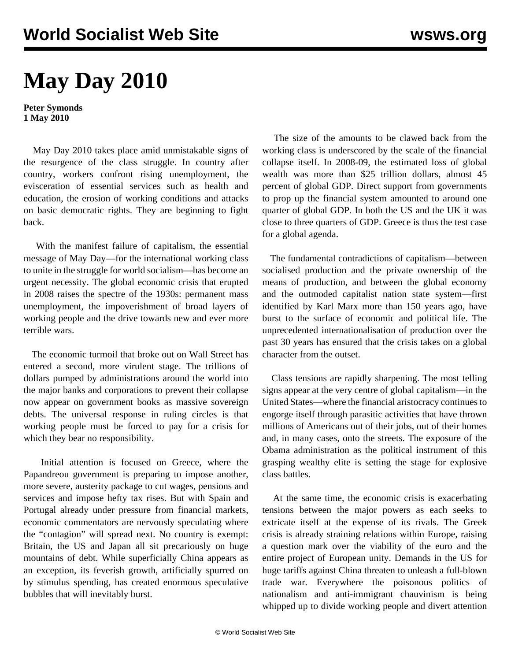## **May Day 2010**

**Peter Symonds 1 May 2010**

 May Day 2010 takes place amid unmistakable signs of the resurgence of the class struggle. In country after country, workers confront rising unemployment, the evisceration of essential services such as health and education, the erosion of working conditions and attacks on basic democratic rights. They are beginning to fight back.

 With the manifest failure of capitalism, the essential message of May Day—for the international working class to unite in the struggle for world socialism—has become an urgent necessity. The global economic crisis that erupted in 2008 raises the spectre of the 1930s: permanent mass unemployment, the impoverishment of broad layers of working people and the drive towards new and ever more terrible wars.

 The economic turmoil that broke out on Wall Street has entered a second, more virulent stage. The trillions of dollars pumped by administrations around the world into the major banks and corporations to prevent their collapse now appear on government books as massive sovereign debts. The universal response in ruling circles is that working people must be forced to pay for a crisis for which they bear no responsibility.

 Initial attention is focused on Greece, where the Papandreou government is preparing to impose another, more severe, austerity package to cut wages, pensions and services and impose hefty tax rises. But with Spain and Portugal already under pressure from financial markets, economic commentators are nervously speculating where the "contagion" will spread next. No country is exempt: Britain, the US and Japan all sit precariously on huge mountains of debt. While superficially China appears as an exception, its feverish growth, artificially spurred on by stimulus spending, has created enormous speculative bubbles that will inevitably burst.

 The size of the amounts to be clawed back from the working class is underscored by the scale of the financial collapse itself. In 2008-09, the estimated loss of global wealth was more than \$25 trillion dollars, almost 45 percent of global GDP. Direct support from governments to prop up the financial system amounted to around one quarter of global GDP. In both the US and the UK it was close to three quarters of GDP. Greece is thus the test case for a global agenda.

 The fundamental contradictions of capitalism—between socialised production and the private ownership of the means of production, and between the global economy and the outmoded capitalist nation state system—first identified by Karl Marx more than 150 years ago, have burst to the surface of economic and political life. The unprecedented internationalisation of production over the past 30 years has ensured that the crisis takes on a global character from the outset.

 Class tensions are rapidly sharpening. The most telling signs appear at the very centre of global capitalism—in the United States—where the financial aristocracy continues to engorge itself through parasitic activities that have thrown millions of Americans out of their jobs, out of their homes and, in many cases, onto the streets. The exposure of the Obama administration as the political instrument of this grasping wealthy elite is setting the stage for explosive class battles.

 At the same time, the economic crisis is exacerbating tensions between the major powers as each seeks to extricate itself at the expense of its rivals. The Greek crisis is already straining relations within Europe, raising a question mark over the viability of the euro and the entire project of European unity. Demands in the US for huge tariffs against China threaten to unleash a full-blown trade war. Everywhere the poisonous politics of nationalism and anti-immigrant chauvinism is being whipped up to divide working people and divert attention